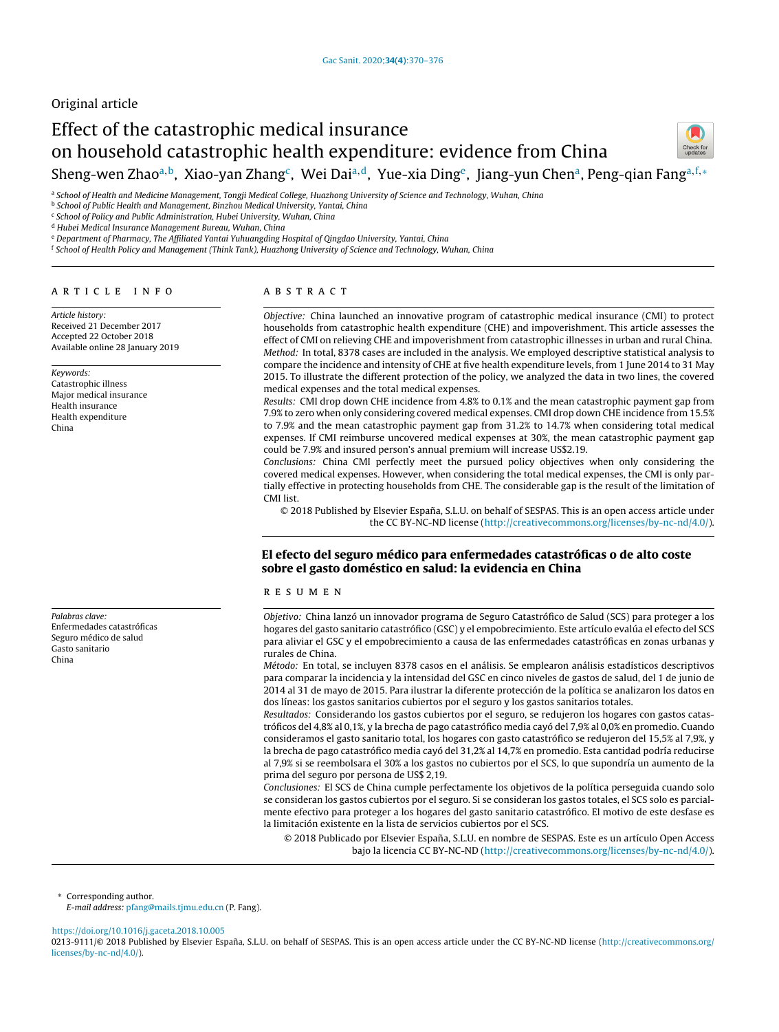# Original article

# Effect of the catastrophic medical insurance on household catastrophic health expenditure: evidence from China Sheng-wen Zhao<sup>a,b</sup>, Xiao-yan Zhang<sup>c</sup>, Wei Dai<sup>a,d</sup>, Yue-xia Ding<sup>e</sup>, Jiang-yun Chen<sup>a</sup>, Peng-qian Fang<sup>a,f,</sup>\*



a School of Health and Medicine Management, Tongji Medical College, Huazhong University of Science and Technology, Wuhan, China

**b School of Public Health and Management, Binzhou Medical University, Yantai, China** 

<sup>c</sup> School of Policy and Public Administration, Hubei University, Wuhan, China

<sup>d</sup> Hubei Medical Insurance Management Bureau, Wuhan, China

<sup>e</sup> Department of Pharmacy, The Affiliated Yantai Yuhuangding Hospital of Qingdao University, Yantai, China

<sup>f</sup> School of Health Policy and Management (Think Tank), Huazhong University of Science and Technology, Wuhan, China

# a r t i c l e i n f o

Article history: Received 21 December 2017 Accepted 22 October 2018 Available online 28 January 2019

Keywords: Catastrophic illness Major medical insurance Health insurance Health expenditure China

Palabras clave: Enfermedades catastróficas Seguro médico de salud Gasto sanitario China

# a b s t r a c t

Objective: China launched an innovative program of catastrophic medical insurance (CMI) to protect households from catastrophic health expenditure (CHE) and impoverishment. This article assesses the effect of CMI on relieving CHE and impoverishment from catastrophic illnesses in urban and rural China. Method: In total, 8378 cases are included in the analysis. We employed descriptive statistical analysis to compare the incidence and intensity of CHE at five health expenditure levels, from 1 June 2014 to 31 May 2015. To illustrate the different protection of the policy, we analyzed the data in two lines, the covered medical expenses and the total medical expenses.

Results: CMI drop down CHE incidence from 4.8% to 0.1% and the mean catastrophic payment gap from 7.9% to zero when only considering covered medical expenses. CMI drop down CHE incidence from 15.5% to 7.9% and the mean catastrophic payment gap from 31.2% to 14.7% when considering total medical expenses. If CMI reimburse uncovered medical expenses at 30%, the mean catastrophic payment gap could be 7.9% and insured person's annual premium will increase US\$2.19.

Conclusions: China CMI perfectly meet the pursued policy objectives when only considering the covered medical expenses. However, when considering the total medical expenses, the CMI is only partially effective in protecting households from CHE. The considerable gap is the result of the limitation of CMI list.

© 2018 Published by Elsevier España, S.L.U. on behalf of SESPAS. This is an open access article under the CC BY-NC-ND license [\(http://creativecommons.org/licenses/by-nc-nd/4.0/](http://creativecommons.org/licenses/by-nc-nd/4.0/)).

# El efecto del seguro médico para enfermedades catastróficas o de alto coste sobre el gasto doméstico en salud: la evidencia en China

#### r e s u m e n

Objetivo: China lanzó un innovador programa de Seguro Catastrófico de Salud (SCS) para proteger a los hogares del gasto sanitario catastrófico (GSC) y el empobrecimiento. Este artículo evalúa el efecto del SCS para aliviar el GSC y el empobrecimiento a causa de las enfermedades catastróficas en zonas urbanas y rurales de China.

Método: En total, se incluyen 8378 casos en el análisis. Se emplearon análisis estadísticos descriptivos para comparar la incidencia y la intensidad del GSC en cinco niveles de gastos de salud, del 1 de junio de 2014 al 31 de mayo de 2015. Para ilustrar la diferente protección de la política se analizaron los datos en dos líneas: los gastos sanitarios cubiertos por el seguro y los gastos sanitarios totales.

Resultados: Considerando los gastos cubiertos por el seguro, se redujeron los hogares con gastos catastróficos del 4,8% al 0,1%, y la brecha de pago catastrófico media cayó del 7,9% al 0,0% en promedio. Cuando consideramos el gasto sanitario total, los hogares con gasto catastrófico se redujeron del 15,5% al 7,9%, y la brecha de pago catastrófico media cayó del 31,2% al 14,7% en promedio. Esta cantidad podría reducirse al 7,9% si se reembolsara el 30% a los gastos no cubiertos por el SCS, lo que supondría un aumento de la prima del seguro por persona de US\$ 2,19.

Conclusiones: El SCS de China cumple perfectamente los objetivos de la política perseguida cuando solo se consideran los gastos cubiertos por el seguro. Si se consideran los gastos totales, el SCS solo es parcialmente efectivo para proteger a los hogares del gasto sanitario catastrófico. El motivo de este desfase es la limitación existente en la lista de servicios cubiertos por el SCS.

© 2018 Publicado por Elsevier España, S.L.U. en nombre de SESPAS. Este es un artículo Open Access bajo la licencia CC BY-NC-ND [\(http://creativecommons.org/licenses/by-nc-nd/4.0/](http://creativecommons.org/licenses/by-nc-nd/4.0/)).

<sup>∗</sup> Corresponding author.

E-mail address: [pfang@mails.tjmu.edu.cn](mailto:pfang@mails.tjmu.edu.cn) (P. Fang).

<https://doi.org/10.1016/j.gaceta.2018.10.005>

0213-9111/© 2018 Published by Elsevier España, S.L.U. on behalf of SESPAS. This is an open access article under the CC BY-NC-ND license ([http://creativecommons.org/](http://creativecommons.org/licenses/by-nc-nd/4.0/) [licenses/by-nc-nd/4.0/](http://creativecommons.org/licenses/by-nc-nd/4.0/)).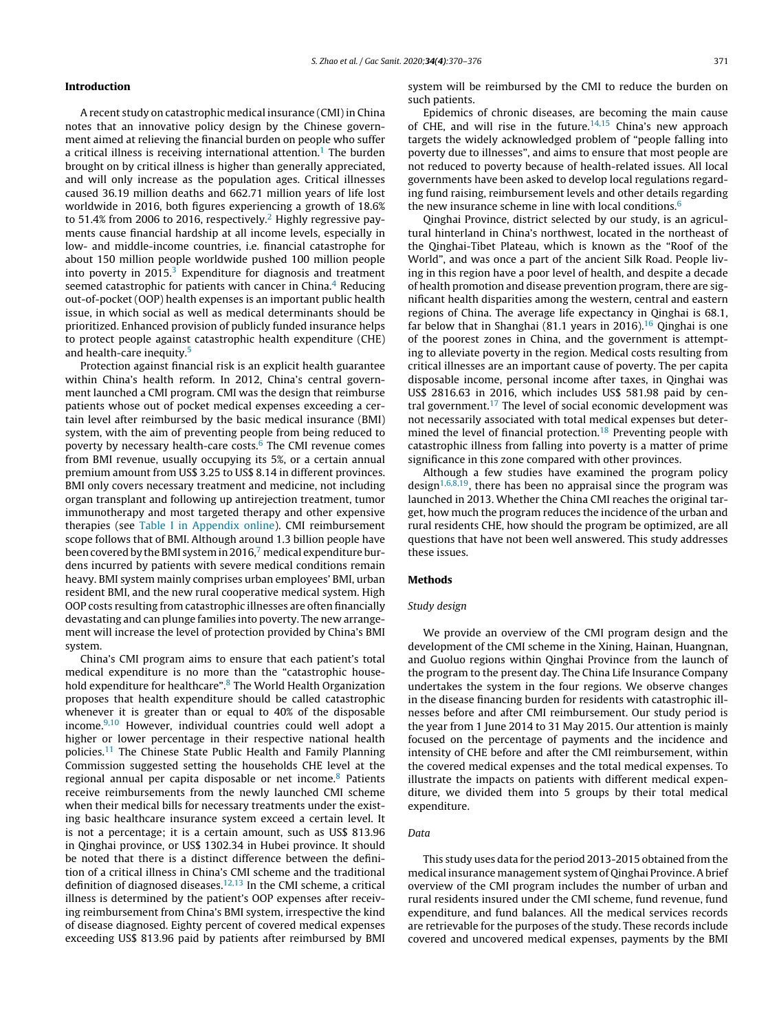#### Introduction

A recent study on catastrophic medical insurance (CMI) in China notes that an innovative policy design by the Chinese government aimed at relieving the financial burden on people who suffer a critical illness is receiving international attention.<sup>[1](#page-6-0)</sup> The burden brought on by critical illness is higher than generally appreciated, and will only increase as the population ages. Critical illnesses caused 36.19 million deaths and 662.71 million years of life lost worldwide in 2016, both figures experiencing a growth of 18.6% to 51.4% from 2006 to 2016, respectively.<sup>2</sup> [H](#page-6-0)ighly regressive payments cause financial hardship at all income levels, especially in low- and middle-income countries, i.e. financial catastrophe for about 150 million people worldwide pushed 100 million people into poverty in  $2015<sup>3</sup>$  $2015<sup>3</sup>$  $2015<sup>3</sup>$  Expenditure for diagnosis and treatment seemed catastrophic for patients with cancer in China. $4$  Reducing out-of-pocket (OOP) health expenses is an important public health issue, in which social as well as medical determinants should be prioritized. Enhanced provision of publicly funded insurance helps to protect people against catastrophic health expenditure (CHE) and health-care inequity.<sup>[5](#page-6-0)</sup>

Protection against financial risk is an explicit health guarantee within China's health reform. In 2012, China's central government launched a CMI program. CMI was the design that reimburse patients whose out of pocket medical expenses exceeding a certain level after reimbursed by the basic medical insurance (BMI) system, with the aim of preventing people from being reduced to poverty by necessary health-care costs. $6$  The CMI revenue comes from BMI revenue, usually occupying its 5%, or a certain annual premium amount from US\$ 3.25 to US\$ 8.14 in different provinces. BMI only covers necessary treatment and medicine, not including organ transplant and following up antirejection treatment, tumor immunotherapy and most targeted therapy and other expensive therapies (see Table I in [Appendix](#page-5-0) online). CMI reimbursement scope follows that of BMI. Although around 1.3 billion people have been covered by the BMI syste[m](#page-6-0) in 2016,<sup>7</sup> medical expenditure burdens incurred by patients with severe medical conditions remain heavy. BMI system mainly comprises urban employees' BMI, urban resident BMI, and the new rural cooperative medical system. High OOP costs resulting from catastrophic illnesses are often financially devastating and can plunge families into poverty. The new arrangement will increase the level of protection provided by China's BMI system.

China's CMI program aims to ensure that each patient's total medical expenditure is no more than the "catastrophic house-hold expenditure for healthcare".<sup>[8](#page-6-0)</sup> The World Health Organization proposes that health expenditure should be called catastrophic whenever it is greater than or equal to 40% of the disposable income. $9,10$  However, individual countries could well adopt a higher or lower percentage in their respective national health policies.[11](#page-6-0) The Chinese State Public Health and Family Planning Commission suggested setting the households CHE level at the regional annual per capita disposable or net income.<sup>[8](#page-6-0)</sup> Patients receive reimbursements from the newly launched CMI scheme when their medical bills for necessary treatments under the existing basic healthcare insurance system exceed a certain level. It is not a percentage; it is a certain amount, such as US\$ 813.96 in Qinghai province, or US\$ 1302.34 in Hubei province. It should be noted that there is a distinct difference between the definition of a critical illness in China's CMI scheme and the traditional definition of diagnosed diseases. $12,13$  In the CMI scheme, a critical illness is determined by the patient's OOP expenses after receiving reimbursement from China's BMI system, irrespective the kind of disease diagnosed. Eighty percent of covered medical expenses exceeding US\$ 813.96 paid by patients after reimbursed by BMI system will be reimbursed by the CMI to reduce the burden on such patients.

Epidemics of chronic diseases, are becoming the main cause of CHE, and will rise in the future.<sup>[14,15](#page-6-0)</sup> China's new approach targets the widely acknowledged problem of "people falling into poverty due to illnesses", and aims to ensure that most people are not reduced to poverty because of health-related issues. All local governments have been asked to develop local regulations regarding fund raising, reimbursement levels and other details regarding the new insurance scheme in line with local conditions. $6$ 

Qinghai Province, district selected by our study, is an agricultural hinterland in China's northwest, located in the northeast of the Qinghai-Tibet Plateau, which is known as the "Roof of the World", and was once a part of the ancient Silk Road. People living in this region have a poor level of health, and despite a decade of health promotion and disease prevention program, there are significant health disparities among the western, central and eastern regions of China. The average life expectancy in Qinghai is 68.1, far below that in Shanghai (81.1 years in 20[16](#page-6-0)).<sup>16</sup> Qinghai is one of the poorest zones in China, and the government is attempting to alleviate poverty in the region. Medical costs resulting from critical illnesses are an important cause of poverty. The per capita disposable income, personal income after taxes, in Qinghai was US\$ 2816.63 in 2016, which includes US\$ 581.98 paid by cen-tral government.<sup>[17](#page-6-0)</sup> The level of social economic development was not necessarily associated with total medical expenses but determined the level of financial protection.[18](#page-6-0) Preventing people with catastrophic illness from falling into poverty is a matter of prime significance in this zone compared with other provinces.

Although a few studies have examined the program policy design<sup>[1,6,8,19](#page-6-0)</sup>, there has been no appraisal since the program was launched in 2013. Whether the China CMI reaches the original target, how much the program reduces the incidence of the urban and rural residents CHE, how should the program be optimized, are all questions that have not been well answered. This study addresses these issues.

#### Methods

### Study design

We provide an overview of the CMI program design and the development of the CMI scheme in the Xining, Hainan, Huangnan, and Guoluo regions within Qinghai Province from the launch of the program to the present day. The China Life Insurance Company undertakes the system in the four regions. We observe changes in the disease financing burden for residents with catastrophic illnesses before and after CMI reimbursement. Our study period is the year from 1 June 2014 to 31 May 2015. Our attention is mainly focused on the percentage of payments and the incidence and intensity of CHE before and after the CMI reimbursement, within the covered medical expenses and the total medical expenses. To illustrate the impacts on patients with different medical expenditure, we divided them into 5 groups by their total medical expenditure.

# Data

This study uses data for the period 2013-2015 obtained from the medical insurance management system of Qinghai Province. A brief overview of the CMI program includes the number of urban and rural residents insured under the CMI scheme, fund revenue, fund expenditure, and fund balances. All the medical services records are retrievable for the purposes of the study. These records include covered and uncovered medical expenses, payments by the BMI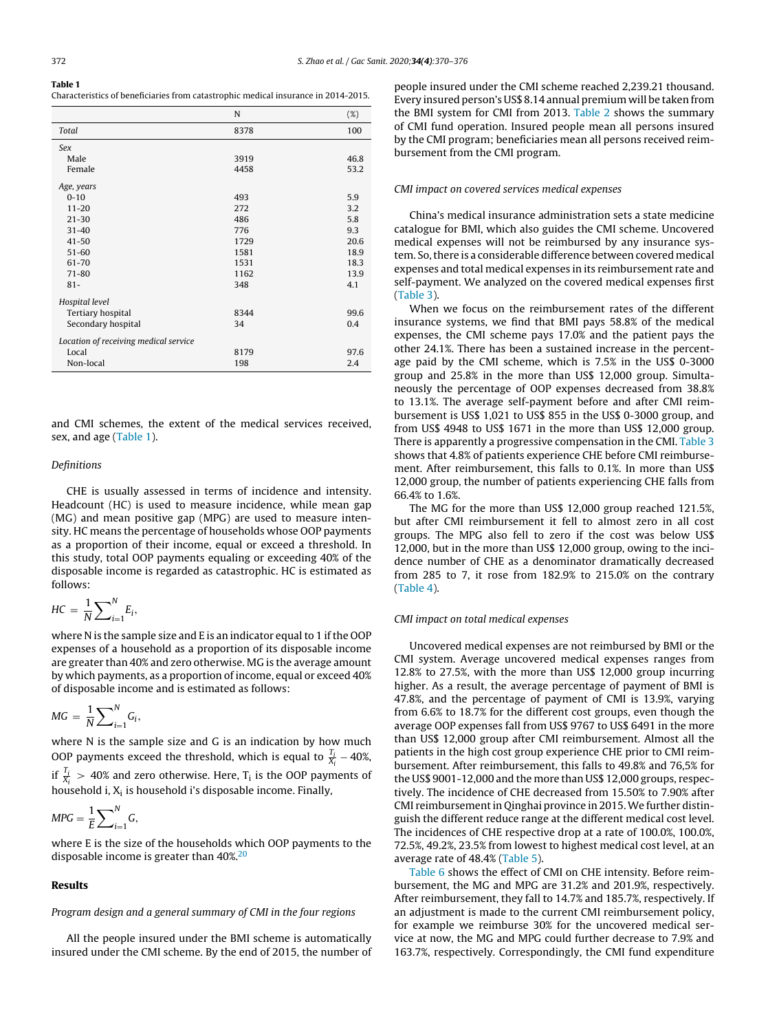| Table 1                                                                            |  |
|------------------------------------------------------------------------------------|--|
| Characteristics of beneficiaries from catastrophic medical insurance in 2014-2015. |  |

|                                       | N    | $(\%)$ |
|---------------------------------------|------|--------|
| Total                                 | 8378 | 100    |
| Sex                                   |      |        |
| Male                                  | 3919 | 46.8   |
| Female                                | 4458 | 53.2   |
| Age, years                            |      |        |
| $0 - 10$                              | 493  | 5.9    |
| $11 - 20$                             | 272  | 3.2    |
| $21 - 30$                             | 486  | 5.8    |
| $31 - 40$                             | 776  | 9.3    |
| $41 - 50$                             | 1729 | 20.6   |
| $51 - 60$                             | 1581 | 18.9   |
| 61-70                                 | 1531 | 18.3   |
| $71 - 80$                             | 1162 | 13.9   |
| $81 -$                                | 348  | 4.1    |
| Hospital level                        |      |        |
| Tertiary hospital                     | 8344 | 99.6   |
| Secondary hospital                    | 34   | 0.4    |
| Location of receiving medical service |      |        |
| Local                                 | 8179 | 97.6   |
| Non-local                             | 198  | 2.4    |
|                                       |      |        |

and CMI schemes, the extent of the medical services received, sex, and age (Table 1).

#### Definitions

CHE is usually assessed in terms of incidence and intensity. Headcount (HC) is used to measure incidence, while mean gap (MG) and mean positive gap (MPG) are used to measure intensity. HC means the percentage of households whose OOP payments as a proportion of their income, equal or exceed a threshold. In this study, total OOP payments equaling or exceeding 40% of the disposable income is regarded as catastrophic. HC is estimated as follows:

$$
HC = \frac{1}{N} \sum_{i=1}^{N} E_i,
$$

where N is the sample size and E is an indicator equal to 1 if the OOP expenses of a household as a proportion of its disposable income are greater than 40% and zero otherwise. MG is the average amount by which payments, as a proportion of income, equal or exceed 40% of disposable income and is estimated as follows:

$$
MG = \frac{1}{N} \sum_{i=1}^{N} G_i,
$$

where N is the sample size and G is an indication by how much OOP payments exceed the threshold, which is equal to  $\frac{T_i}{X_i}$  – 40%, if  $\frac{T_i}{X_i} > 40\%$  and zero otherwise. Here,  $T_i$  is the OOP payments of household i, X<sub>i</sub> is household i's disposable income. Finally,

$$
MPG = \frac{1}{E} \sum_{i=1}^{N} G,
$$

where E is the size of the households which OOP payments to the disposable income is greater than 40%.<sup>[20](#page-6-0)</sup>

#### Results

#### Program design and a general summary of CMI in the four regions

All the people insured under the BMI scheme is automatically insured under the CMI scheme. By the end of 2015, the number of people insured under the CMI scheme reached 2,239.21 thousand. Every insured person's US\$ 8.14 annual premium will be taken from the BMI system for CMI from 2013. [Table](#page-3-0) 2 shows the summary of CMI fund operation. Insured people mean all persons insured by the CMI program; beneficiaries mean all persons received reimbursement from the CMI program.

#### CMI impact on covered services medical expenses

China's medical insurance administration sets a state medicine catalogue for BMI, which also guides the CMI scheme. Uncovered medical expenses will not be reimbursed by any insurance system. So, there is a considerable difference between covered medical expenses and total medical expenses in its reimbursement rate and self-payment. We analyzed on the covered medical expenses first [\(Table](#page-3-0) 3).

When we focus on the reimbursement rates of the different insurance systems, we find that BMI pays 58.8% of the medical expenses, the CMI scheme pays 17.0% and the patient pays the other 24.1%. There has been a sustained increase in the percentage paid by the CMI scheme, which is 7.5% in the US\$ 0-3000 group and 25.8% in the more than US\$ 12,000 group. Simultaneously the percentage of OOP expenses decreased from 38.8% to 13.1%. The average self-payment before and after CMI reimbursement is US\$ 1,021 to US\$ 855 in the US\$ 0-3000 group, and from US\$ 4948 to US\$ 1671 in the more than US\$ 12,000 group. There is apparently a progressive compensation in the CMI. [Table](#page-3-0) 3 shows that 4.8% of patients experience CHE before CMI reimbursement. After reimbursement, this falls to 0.1%. In more than US\$ 12,000 group, the number of patients experiencing CHE falls from 66.4% to 1.6%.

The MG for the more than US\$ 12,000 group reached 121.5%, but after CMI reimbursement it fell to almost zero in all cost groups. The MPG also fell to zero if the cost was below US\$ 12,000, but in the more than US\$ 12,000 group, owing to the incidence number of CHE as a denominator dramatically decreased from 285 to 7, it rose from 182.9% to 215.0% on the contrary [\(Table](#page-3-0) 4).

#### CMI impact on total medical expenses

Uncovered medical expenses are not reimbursed by BMI or the CMI system. Average uncovered medical expenses ranges from 12.8% to 27.5%, with the more than US\$ 12,000 group incurring higher. As a result, the average percentage of payment of BMI is 47.8%, and the percentage of payment of CMI is 13.9%, varying from 6.6% to 18.7% for the different cost groups, even though the average OOP expenses fall from US\$ 9767 to US\$ 6491 in the more than US\$ 12,000 group after CMI reimbursement. Almost all the patients in the high cost group experience CHE prior to CMI reimbursement. After reimbursement, this falls to 49.8% and 76,5% for the US\$ 9001-12,000 and the more than US\$ 12,000 groups, respectively. The incidence of CHE decreased from 15.50% to 7.90% after CMI reimbursementin Qinghai province in 2015.We further distinguish the different reduce range at the different medical cost level. The incidences of CHE respective drop at a rate of 100.0%, 100.0%, 72.5%, 49.2%, 23.5% from lowest to highest medical cost level, at an average rate of 48.4% ([Table](#page-4-0) 5).

[Table](#page-4-0) 6 shows the effect of CMI on CHE intensity. Before reimbursement, the MG and MPG are 31.2% and 201.9%, respectively. After reimbursement, they fall to 14.7% and 185.7%, respectively. If an adjustment is made to the current CMI reimbursement policy, for example we reimburse 30% for the uncovered medical service at now, the MG and MPG could further decrease to 7.9% and 163.7%, respectively. Correspondingly, the CMI fund expenditure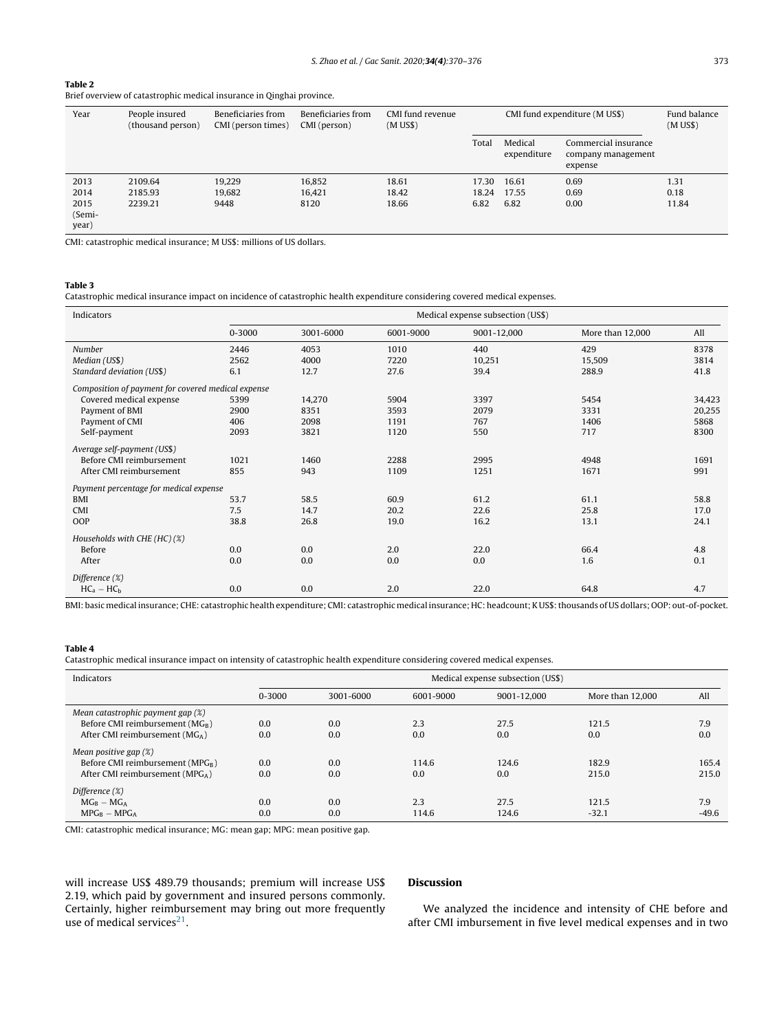#### <span id="page-3-0"></span>Table 2

Brief overview of catastrophic medical insurance in Qinghai province.

| Year                    | People insured<br>(thousand person) | Beneficiaries from<br>CMI (person times) | Beneficiaries from<br>CMI (person) | CMI fund revenue<br>$(M$ US\$) |       | CMI fund expenditure (M US\$) |                                                       | Fund balance<br>$(M$ US\$) |
|-------------------------|-------------------------------------|------------------------------------------|------------------------------------|--------------------------------|-------|-------------------------------|-------------------------------------------------------|----------------------------|
|                         |                                     |                                          |                                    |                                | Total | Medical<br>expenditure        | Commercial insurance<br>company management<br>expense |                            |
| 2013                    | 2109.64                             | 19.229                                   | 16.852                             | 18.61                          | 17.30 | 16.61                         | 0.69                                                  | 1.31                       |
| 2014                    | 2185.93                             | 19.682                                   | 16.421                             | 18.42                          | 18.24 | 17.55                         | 0.69                                                  | 0.18                       |
| 2015<br>(Semi-<br>year) | 2239.21                             | 9448                                     | 8120                               | 18.66                          | 6.82  | 6.82                          | 0.00                                                  | 11.84                      |

CMI: catastrophic medical insurance; M US\$: millions of US dollars.

#### Table 3

Catastrophic medical insurance impact on incidence of catastrophic health expenditure considering covered medical expenses.

| Indicators                                         | Medical expense subsection (US\$) |           |           |             |                  |        |
|----------------------------------------------------|-----------------------------------|-----------|-----------|-------------|------------------|--------|
|                                                    | $0 - 3000$                        | 3001-6000 | 6001-9000 | 9001-12,000 | More than 12,000 | All    |
| Number                                             | 2446                              | 4053      | 1010      | 440         | 429              | 8378   |
| Median (US\$)                                      | 2562                              | 4000      | 7220      | 10,251      | 15,509           | 3814   |
| Standard deviation (US\$)                          | 6.1                               | 12.7      | 27.6      | 39.4        | 288.9            | 41.8   |
| Composition of payment for covered medical expense |                                   |           |           |             |                  |        |
| Covered medical expense                            | 5399                              | 14,270    | 5904      | 3397        | 5454             | 34,423 |
| Payment of BMI                                     | 2900                              | 8351      | 3593      | 2079        | 3331             | 20,255 |
| Payment of CMI                                     | 406                               | 2098      | 1191      | 767         | 1406             | 5868   |
| Self-payment                                       | 2093                              | 3821      | 1120      | 550         | 717              | 8300   |
| Average self-payment (US\$)                        |                                   |           |           |             |                  |        |
| Before CMI reimbursement                           | 1021                              | 1460      | 2288      | 2995        | 4948             | 1691   |
| After CMI reimbursement                            | 855                               | 943       | 1109      | 1251        | 1671             | 991    |
| Payment percentage for medical expense             |                                   |           |           |             |                  |        |
| <b>BMI</b>                                         | 53.7                              | 58.5      | 60.9      | 61.2        | 61.1             | 58.8   |
| CMI                                                | 7.5                               | 14.7      | 20.2      | 22.6        | 25.8             | 17.0   |
| OOP                                                | 38.8                              | 26.8      | 19.0      | 16.2        | 13.1             | 24.1   |
| Households with CHE (HC) (%)                       |                                   |           |           |             |                  |        |
| Before                                             | 0.0                               | 0.0       | 2.0       | 22.0        | 66.4             | 4.8    |
| After                                              | 0.0                               | 0.0       | 0.0       | 0.0         | 1.6              | 0.1    |
| Difference (%)                                     |                                   |           |           |             |                  |        |
| $HC_a - HC_b$                                      | 0.0                               | 0.0       | 2.0       | 22.0        | 64.8             | 4.7    |

BMI: basic medical insurance; CHE: catastrophic health expenditure; CMI: catastrophic medical insurance; HC: headcount; KUS\$: thousands of US dollars; OOP: out-of-pocket.

### Table 4

Catastrophic medical insurance impact on intensity of catastrophic health expenditure considering covered medical expenses.

| Indicators                                  | Medical expense subsection (US\$) |           |           |             |                  |         |
|---------------------------------------------|-----------------------------------|-----------|-----------|-------------|------------------|---------|
|                                             | 0-3000                            | 3001-6000 | 6001-9000 | 9001-12.000 | More than 12,000 | All     |
| Mean catastrophic payment gap (%)           |                                   |           |           |             |                  |         |
| Before CMI reimbursement ( $MG_B$ )         | 0.0                               | 0.0       | 2.3       | 27.5        | 121.5            | 7.9     |
| After CMI reimbursement ( $MGA$ )           | 0.0                               | 0.0       | 0.0       | 0.0         | 0.0              | 0.0     |
| Mean positive gap $(\%)$                    |                                   |           |           |             |                  |         |
| Before CMI reimbursement ( $MPGR$ )         | 0.0                               | 0.0       | 114.6     | 124.6       | 182.9            | 165.4   |
| After CMI reimbursement (MPG <sub>A</sub> ) | 0.0                               | 0.0       | 0.0       | 0.0         | 215.0            | 215.0   |
| Difference $(\%)$                           |                                   |           |           |             |                  |         |
| $MG_B - MG_A$                               | 0.0                               | 0.0       | 2.3       | 27.5        | 121.5            | 7.9     |
| $MPGR - MPGA$                               | 0.0                               | 0.0       | 114.6     | 124.6       | $-32.1$          | $-49.6$ |

CMI: catastrophic medical insurance; MG: mean gap; MPG: mean positive gap.

will increase US\$ 489.79 thousands; premium will increase US\$ 2.19, which paid by government and insured persons commonly. Certainly, higher reimbursement may bring out more frequently use of medical services $21$ .

### Discussion

We analyzed the incidence and intensity of CHE before and after CMI imbursement in five level medical expenses and in two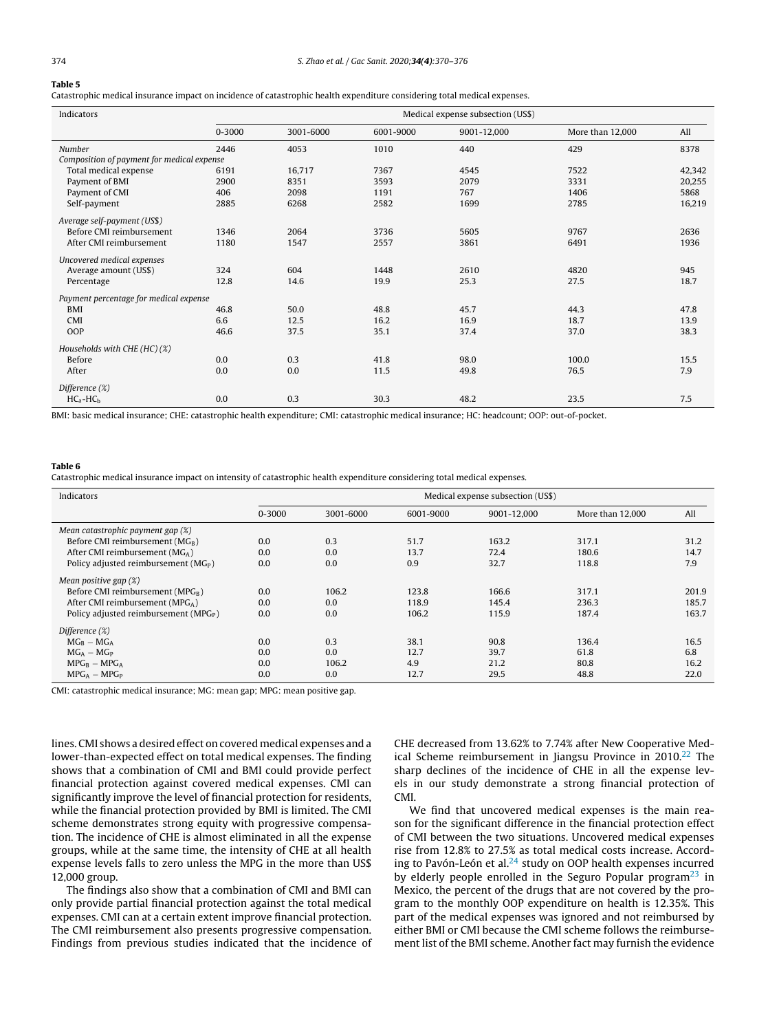# <span id="page-4-0"></span>Table 5

Catastrophic medical insurance impact on incidence of catastrophic health expenditure considering total medical expenses.

| Indicators                                 | Medical expense subsection (US\$) |           |           |             |                  |        |
|--------------------------------------------|-----------------------------------|-----------|-----------|-------------|------------------|--------|
|                                            | $0 - 3000$                        | 3001-6000 | 6001-9000 | 9001-12,000 | More than 12,000 | All    |
| Number                                     | 2446                              | 4053      | 1010      | 440         | 429              | 8378   |
| Composition of payment for medical expense |                                   |           |           |             |                  |        |
| Total medical expense                      | 6191                              | 16,717    | 7367      | 4545        | 7522             | 42,342 |
| Payment of BMI                             | 2900                              | 8351      | 3593      | 2079        | 3331             | 20,255 |
| Payment of CMI                             | 406                               | 2098      | 1191      | 767         | 1406             | 5868   |
| Self-payment                               | 2885                              | 6268      | 2582      | 1699        | 2785             | 16,219 |
| Average self-payment (US\$)                |                                   |           |           |             |                  |        |
| Before CMI reimbursement                   | 1346                              | 2064      | 3736      | 5605        | 9767             | 2636   |
| After CMI reimbursement                    | 1180                              | 1547      | 2557      | 3861        | 6491             | 1936   |
| Uncovered medical expenses                 |                                   |           |           |             |                  |        |
| Average amount (US\$)                      | 324                               | 604       | 1448      | 2610        | 4820             | 945    |
| Percentage                                 | 12.8                              | 14.6      | 19.9      | 25.3        | 27.5             | 18.7   |
| Payment percentage for medical expense     |                                   |           |           |             |                  |        |
| <b>BMI</b>                                 | 46.8                              | 50.0      | 48.8      | 45.7        | 44.3             | 47.8   |
| CMI                                        | 6.6                               | 12.5      | 16.2      | 16.9        | 18.7             | 13.9   |
| OOP                                        | 46.6                              | 37.5      | 35.1      | 37.4        | 37.0             | 38.3   |
| Households with CHE (HC) (%)               |                                   |           |           |             |                  |        |
| Before                                     | 0.0                               | 0.3       | 41.8      | 98.0        | 100.0            | 15.5   |
| After                                      | 0.0                               | 0.0       | 11.5      | 49.8        | 76.5             | 7.9    |
| Difference (%)                             |                                   |           |           |             |                  |        |
| $HC_a-HC_h$                                | 0.0                               | 0.3       | 30.3      | 48.2        | 23.5             | 7.5    |

BMI: basic medical insurance; CHE: catastrophic health expenditure; CMI: catastrophic medical insurance; HC: headcount; OOP: out-of-pocket.

#### Table 6

Catastrophic medical insurance impact on intensity of catastrophic health expenditure considering total medical expenses.

| Indicators                                        | Medical expense subsection (US\$) |           |           |             |                  |       |
|---------------------------------------------------|-----------------------------------|-----------|-----------|-------------|------------------|-------|
|                                                   | $0 - 3000$                        | 3001-6000 | 6001-9000 | 9001-12.000 | More than 12,000 | All   |
| Mean catastrophic payment gap (%)                 |                                   |           |           |             |                  |       |
| Before CMI reimbursement (MGB)                    | 0.0                               | 0.3       | 51.7      | 163.2       | 317.1            | 31.2  |
| After CMI reimbursement ( $MGA$ )                 | 0.0                               | 0.0       | 13.7      | 72.4        | 180.6            | 14.7  |
| Policy adjusted reimbursement ( $MGP$ )           | 0.0                               | 0.0       | 0.9       | 32.7        | 118.8            | 7.9   |
| Mean positive gap $(\%)$                          |                                   |           |           |             |                  |       |
| Before CMI reimbursement (MPG <sub>R</sub> )      | 0.0                               | 106.2     | 123.8     | 166.6       | 317.1            | 201.9 |
| After CMI reimbursement (MPGA)                    | 0.0                               | 0.0       | 118.9     | 145.4       | 236.3            | 185.7 |
| Policy adjusted reimbursement (MPG <sub>P</sub> ) | 0.0                               | 0.0       | 106.2     | 115.9       | 187.4            | 163.7 |
| Difference $(\%)$                                 |                                   |           |           |             |                  |       |
| $MG_B - MG_A$                                     | 0.0                               | 0.3       | 38.1      | 90.8        | 136.4            | 16.5  |
| $MG_A - MG_P$                                     | 0.0                               | 0.0       | 12.7      | 39.7        | 61.8             | 6.8   |
| $MPG_B - MPG_A$                                   | 0.0                               | 106.2     | 4.9       | 21.2        | 80.8             | 16.2  |
| $MPGA - MPGP$                                     | 0.0                               | 0.0       | 12.7      | 29.5        | 48.8             | 22.0  |

CMI: catastrophic medical insurance; MG: mean gap; MPG: mean positive gap.

lines. CMI shows a desired effect on covered medical expenses and a lower-than-expected effect on total medical expenses. The finding shows that a combination of CMI and BMI could provide perfect financial protection against covered medical expenses. CMI can significantly improve the level of financial protection for residents, while the financial protection provided by BMI is limited. The CMI scheme demonstrates strong equity with progressive compensation. The incidence of CHE is almost eliminated in all the expense groups, while at the same time, the intensity of CHE at all health expense levels falls to zero unless the MPG in the more than US\$ 12,000 group.

The findings also show that a combination of CMI and BMI can only provide partial financial protection against the total medical expenses. CMI can at a certain extent improve financial protection. The CMI reimbursement also presents progressive compensation. Findings from previous studies indicated that the incidence of CHE decreased from 13.62% to 7.74% after New Cooperative Med-ical Scheme reimbursement in Jiangsu Province in 2010.<sup>[22](#page-6-0)</sup> The sharp declines of the incidence of CHE in all the expense levels in our study demonstrate a strong financial protection of CMI.

We find that uncovered medical expenses is the main reason for the significant difference in the financial protection effect of CMI between the two situations. Uncovered medical expenses rise from 12.8% to 27.5% as total medical costs increase. According to Pavón-León et al. $24$  study on OOP health expenses incurred by elderly people enrolled in the Seguro Popular program $^{23}$  $^{23}$  $^{23}$  in Mexico, the percent of the drugs that are not covered by the program to the monthly OOP expenditure on health is 12.35%. This part of the medical expenses was ignored and not reimbursed by either BMI or CMI because the CMI scheme follows the reimbursement list of the BMI scheme. Another fact may furnish the evidence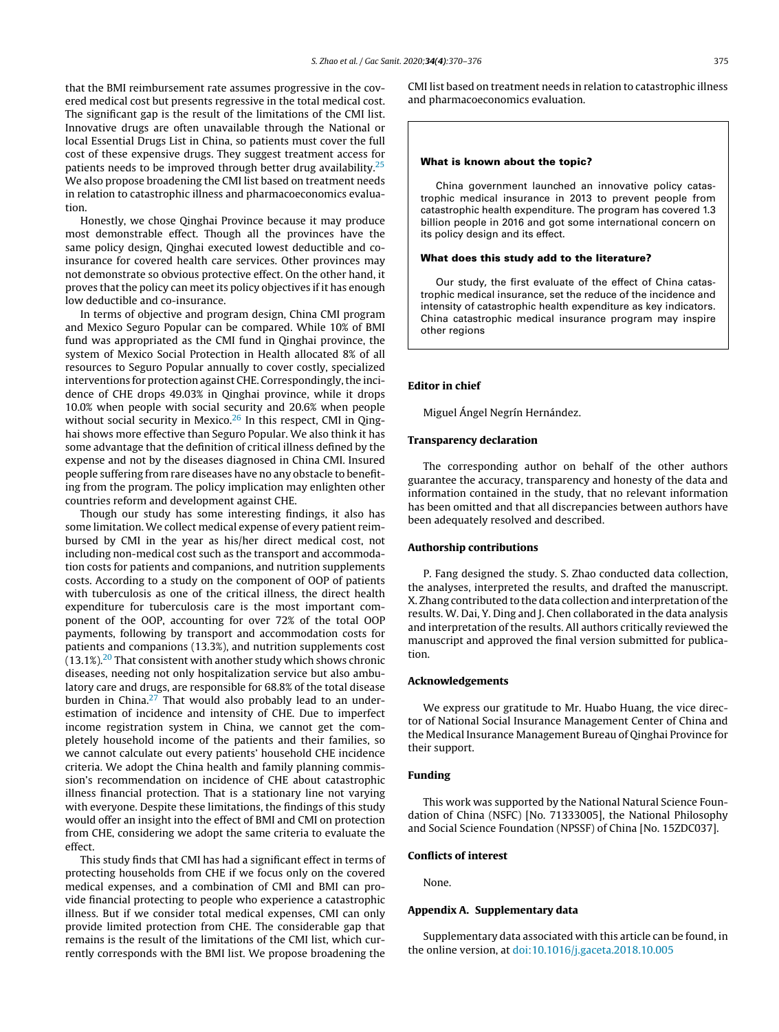<span id="page-5-0"></span>that the BMI reimbursement rate assumes progressive in the covered medical cost but presents regressive in the total medical cost. The significant gap is the result of the limitations of the CMI list. Innovative drugs are often unavailable through the National or local Essential Drugs List in China, so patients must cover the full cost of these expensive drugs. They suggest treatment access for patients needs to be improved through better drug availability. $25$ We also propose broadening the CMI list based on treatment needs in relation to catastrophic illness and pharmacoeconomics evaluation.

Honestly, we chose Qinghai Province because it may produce most demonstrable effect. Though all the provinces have the same policy design, Qinghai executed lowest deductible and coinsurance for covered health care services. Other provinces may not demonstrate so obvious protective effect. On the other hand, it proves that the policy can meet its policy objectives if it has enough low deductible and co-insurance.

In terms of objective and program design, China CMI program and Mexico Seguro Popular can be compared. While 10% of BMI fund was appropriated as the CMI fund in Qinghai province, the system of Mexico Social Protection in Health allocated 8% of all resources to Seguro Popular annually to cover costly, specialized interventions for protection against CHE. Correspondingly, the incidence of CHE drops 49.03% in Qinghai province, while it drops 10.0% when people with social security and 20.6% when people without social security in Mexico. $26$  In this respect, CMI in Qinghai shows more effective than Seguro Popular. We also think it has some advantage that the definition of critical illness defined by the expense and not by the diseases diagnosed in China CMI. Insured people suffering from rare diseases have no any obstacle to benefiting from the program. The policy implication may enlighten other countries reform and development against CHE.

Though our study has some interesting findings, it also has some limitation. We collect medical expense of every patient reimbursed by CMI in the year as his/her direct medical cost, not including non-medical cost such as the transport and accommodation costs for patients and companions, and nutrition supplements costs. According to a study on the component of OOP of patients with tuberculosis as one of the critical illness, the direct health expenditure for tuberculosis care is the most important component of the OOP, accounting for over 72% of the total OOP payments, following by transport and accommodation costs for patients and companions (13.3%), and nutrition supplements cost  $(13.1\%)$ <sup>[20](#page-6-0)</sup> That consistent with another study which shows chronic diseases, needing not only hospitalization service but also ambulatory care and drugs, are responsible for 68.8% of the total disease burden in China. $27$  That would also probably lead to an underestimation of incidence and intensity of CHE. Due to imperfect income registration system in China, we cannot get the completely household income of the patients and their families, so we cannot calculate out every patients' household CHE incidence criteria. We adopt the China health and family planning commission's recommendation on incidence of CHE about catastrophic illness financial protection. That is a stationary line not varying with everyone. Despite these limitations, the findings of this study would offer an insight into the effect of BMI and CMI on protection from CHE, considering we adopt the same criteria to evaluate the effect.

This study finds that CMI has had a significant effect in terms of protecting households from CHE if we focus only on the covered medical expenses, and a combination of CMI and BMI can provide financial protecting to people who experience a catastrophic illness. But if we consider total medical expenses, CMI can only provide limited protection from CHE. The considerable gap that remains is the result of the limitations of the CMI list, which currently corresponds with the BMI list. We propose broadening the

CMI list based on treatment needs in relation to catastrophic illness and pharmacoeconomics evaluation.

#### What is known about the topic?

China government launched an innovative policy catastrophic medical insurance in 2013 to prevent people from catastrophic health expenditure. The program has covered 1.3 billion people in 2016 and got some international concern on its policy design and its effect.

#### What does this study add to the literature?

Our study, the first evaluate of the effect of China catastrophic medical insurance, set the reduce of the incidence and intensity of catastrophic health expenditure as key indicators. China catastrophic medical insurance program may inspire other regions

#### Editor in chief

Miguel Ángel Negrín Hernández.

#### Transparency declaration

The corresponding author on behalf of the other authors guarantee the accuracy, transparency and honesty of the data and information contained in the study, that no relevant information has been omitted and that all discrepancies between authors have been adequately resolved and described.

#### Authorship contributions

P. Fang designed the study. S. Zhao conducted data collection, the analyses, interpreted the results, and drafted the manuscript. X. Zhang contributed to the data collection and interpretation ofthe results. W. Dai, Y. Ding and J. Chen collaborated in the data analysis and interpretation of the results. All authors critically reviewed the manuscript and approved the final version submitted for publication.

# Acknowledgements

We express our gratitude to Mr. Huabo Huang, the vice director of National Social Insurance Management Center of China and the Medical Insurance Management Bureau of Qinghai Province for their support.

#### Funding

This work was supported by the National Natural Science Foundation of China (NSFC) [No. 71333005], the National Philosophy and Social Science Foundation (NPSSF) of China [No. 15ZDC037].

#### Conflicts of interest

None.

#### Appendix A. Supplementary data

Supplementary data associated with this article can be found, in the online version, at [doi:10.1016/j.gaceta.2018.10.005](http://dx.doi.org/10.1016/j.gaceta.2018.10.005)